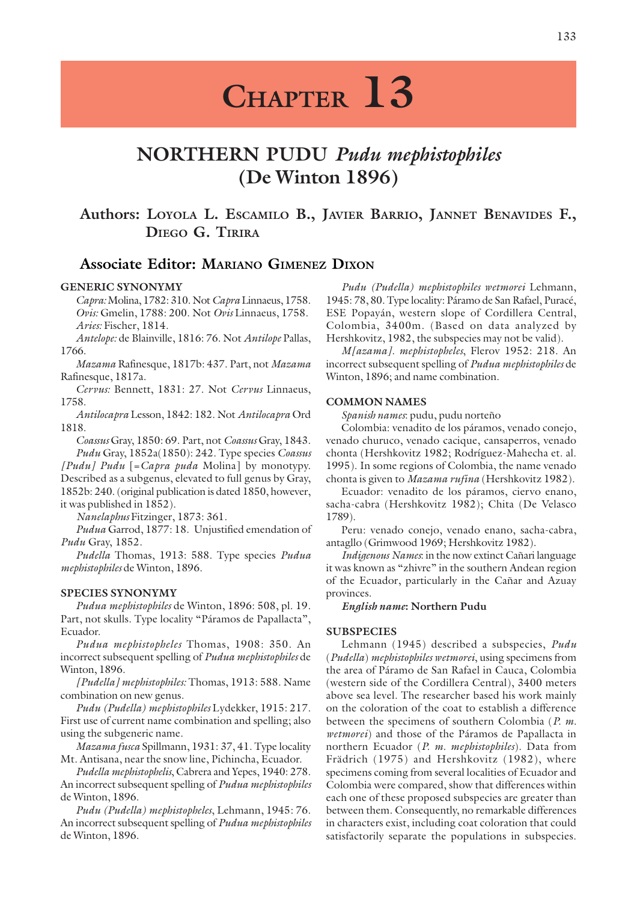# **CHAPTER 13**

## **NORTHERN PUDU** *Pudu mephistophiles* **(De Winton 1896)**

### **Authors: LOYOLA L. ESCAMILO B., JAVIER BARRIO, JANNET BENAVIDES F., DIEGO G. TIRIRA**

### **Associate Editor: MARIANO GIMENEZ DIXON**

### **GENERIC SYNONYMY**

*Capra:* Molina, 1782: 310. Not *Capra* Linnaeus, 1758. *Ovis:* Gmelin, 1788: 200. Not *Ovis* Linnaeus, 1758. *Aries:* Fischer, 1814.

*Antelope:* de Blainville, 1816: 76. Not *Antilope* Pallas, 1766.

*Mazama* Rafinesque, 1817b: 437. Part, not *Mazama* Rafinesque, 1817a.

*Cervus:* Bennett, 1831: 27. Not *Cervus* Linnaeus, 1758.

*Antilocapra* Lesson, 1842: 182. Not *Antilocapra* Ord 1818.

*Coassus* Gray, 1850: 69. Part, not *Coassus* Gray, 1843. *Pudu* Gray, 1852a(1850): 242. Type species *Coassus [Pudu] Pudu* [=*Capra puda* Molina] by monotypy. Described as a subgenus, elevated to full genus by Gray, 1852b: 240. (original publication is dated 1850, however,

it was published in 1852). *Nanelaphus* Fitzinger, 1873: 361.

*Pudua* Garrod, 1877: 18. Unjustified emendation of *Pudu* Gray, 1852.

*Pudella* Thomas, 1913: 588. Type species *Pudua mephistophiles* de Winton, 1896.

### **SPECIES SYNONYMY**

*Pudua mephistophiles* de Winton, 1896: 508, pl. 19. Part, not skulls. Type locality "Páramos de Papallacta", Ecuador.

*Pudua mephistopheles* Thomas, 1908: 350. An incorrect subsequent spelling of *Pudua mephistophiles* de Winton, 1896.

*[Pudella] mephistophiles:* Thomas, 1913: 588. Name combination on new genus.

*Pudu (Pudella) mephistophiles* Lydekker, 1915: 217. First use of current name combination and spelling; also using the subgeneric name.

*Mazama fusca* Spillmann, 1931: 37, 41. Type locality Mt. Antisana, near the snow line, Pichincha, Ecuador.

*Pudella mephistophelis*, Cabrera and Yepes, 1940: 278. An incorrect subsequent spelling of *Pudua mephistophiles* de Winton, 1896.

*Pudu (Pudella) mephistopheles*, Lehmann, 1945: 76. An incorrect subsequent spelling of *Pudua mephistophiles* de Winton, 1896.

*Pudu (Pudella) mephistophiles wetmorei* Lehmann, 1945: 78, 80. Type locality: Páramo de San Rafael, Puracé, ESE Popayán, western slope of Cordillera Central, Colombia, 3400m. (Based on data analyzed by Hershkovitz, 1982, the subspecies may not be valid).

*M[azama]. mephistopheles*, Flerov 1952: 218. An incorrect subsequent spelling of *Pudua mephistophiles* de Winton, 1896; and name combination.

### **COMMON NAMES**

*Spanish names*: pudu, pudu norteño

Colombia: venadito de los páramos, venado conejo, venado churuco, venado cacique, cansaperros, venado chonta (Hershkovitz 1982; Rodríguez-Mahecha et. al. 1995). In some regions of Colombia, the name venado chonta is given to *Mazama rufina* (Hershkovitz 1982).

Ecuador: venadito de los páramos, ciervo enano, sacha-cabra (Hershkovitz 1982); Chita (De Velasco 1789).

Peru: venado conejo, venado enano, sacha-cabra, antagllo (Grimwood 1969; Hershkovitz 1982).

*Indigenous Names*: in the now extinct Cañari language it was known as "zhivre" in the southern Andean region of the Ecuador, particularly in the Cañar and Azuay provinces.

### *English name***: Northern Pudu**

### **SUBSPECIES**

Lehmann (1945) described a subspecies, *Pudu* (*Pudella*) *mephistophiles wetmorei*, using specimens from the area of Páramo de San Rafael in Cauca, Colombia (western side of the Cordillera Central), 3400 meters above sea level. The researcher based his work mainly on the coloration of the coat to establish a difference between the specimens of southern Colombia (*P. m. wetmorei*) and those of the Páramos de Papallacta in northern Ecuador (*P. m. mephistophiles*). Data from Frädrich (1975) and Hershkovitz (1982), where specimens coming from several localities of Ecuador and Colombia were compared, show that differences within each one of these proposed subspecies are greater than between them. Consequently, no remarkable differences in characters exist, including coat coloration that could satisfactorily separate the populations in subspecies.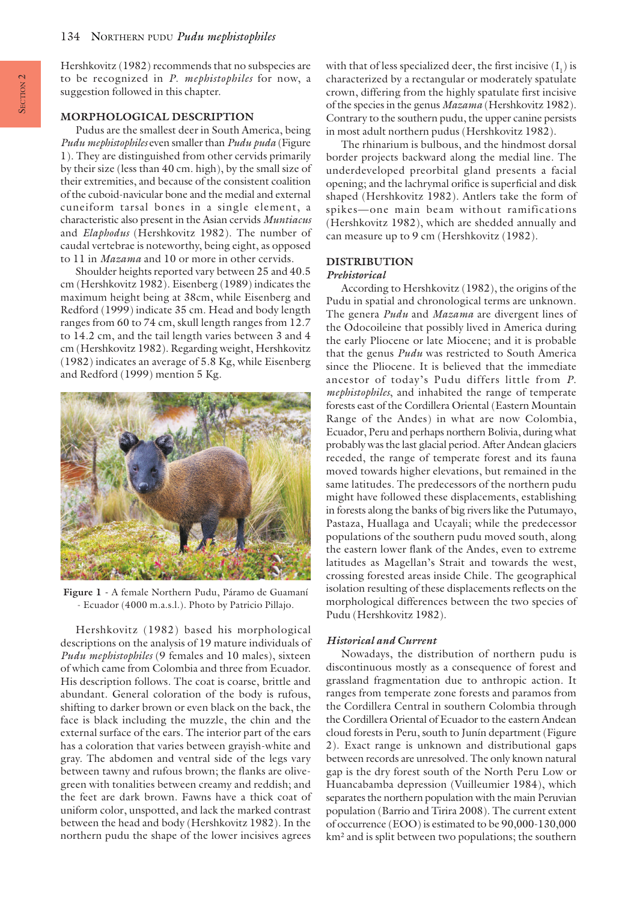Hershkovitz (1982) recommends that no subspecies are to be recognized in *P*. *mephistophiles* for now, a suggestion followed in this chapter.

### **MORPHOLOGICAL DESCRIPTION**

Pudus are the smallest deer in South America, being *Pudu mephistophiles* even smaller than *Pudu puda* (Figure 1). They are distinguished from other cervids primarily by their size (less than 40 cm. high), by the small size of their extremities, and because of the consistent coalition of the cuboid-navicular bone and the medial and external cuneiform tarsal bones in a single element, a characteristic also present in the Asian cervids *Muntiacus* and *Elaphodus* (Hershkovitz 1982). The number of caudal vertebrae is noteworthy, being eight, as opposed to 11 in *Mazama* and 10 or more in other cervids.

Shoulder heights reported vary between 25 and 40.5 cm (Hershkovitz 1982). Eisenberg (1989) indicates the maximum height being at 38cm, while Eisenberg and Redford (1999) indicate 35 cm. Head and body length ranges from 60 to 74 cm, skull length ranges from 12.7 to 14.2 cm, and the tail length varies between 3 and 4 cm (Hershkovitz 1982). Regarding weight, Hershkovitz (1982) indicates an average of 5.8 Kg, while Eisenberg and Redford (1999) mention 5 Kg.



**Figure 1 -** A female Northern Pudu, Páramo de Guamaní - Ecuador (4000 m.a.s.l.). Photo by Patricio Pillajo.

Hershkovitz (1982) based his morphological descriptions on the analysis of 19 mature individuals of *Pudu mephistophiles* (9 females and 10 males), sixteen of which came from Colombia and three from Ecuador. His description follows. The coat is coarse, brittle and abundant. General coloration of the body is rufous, shifting to darker brown or even black on the back, the face is black including the muzzle, the chin and the external surface of the ears. The interior part of the ears has a coloration that varies between grayish-white and gray. The abdomen and ventral side of the legs vary between tawny and rufous brown; the flanks are olivegreen with tonalities between creamy and reddish; and the feet are dark brown. Fawns have a thick coat of uniform color, unspotted, and lack the marked contrast between the head and body (Hershkovitz 1982). In the northern pudu the shape of the lower incisives agrees

with that of less specialized deer, the first incisive  $(\mathbf{I}_1)$  is characterized by a rectangular or moderately spatulate crown, differing from the highly spatulate first incisive of the species in the genus *Mazama* (Hershkovitz 1982). Contrary to the southern pudu, the upper canine persists in most adult northern pudus (Hershkovitz 1982).

The rhinarium is bulbous, and the hindmost dorsal border projects backward along the medial line. The underdeveloped preorbital gland presents a facial opening; and the lachrymal orifice is superficial and disk shaped (Hershkovitz 1982). Antlers take the form of spikes—one main beam without ramifications (Hershkovitz 1982), which are shedded annually and can measure up to 9 cm (Hershkovitz (1982).

### **DISTRIBUTION**

### *Prehistorical*

According to Hershkovitz (1982), the origins of the Pudu in spatial and chronological terms are unknown. The genera *Pudu* and *Mazama* are divergent lines of the Odocoileine that possibly lived in America during the early Pliocene or late Miocene; and it is probable that the genus *Pudu* was restricted to South America since the Pliocene. It is believed that the immediate ancestor of today's Pudu differs little from *P*. *mephistophiles*, and inhabited the range of temperate forests east of the Cordillera Oriental (Eastern Mountain Range of the Andes) in what are now Colombia, Ecuador, Peru and perhaps northern Bolivia, during what probably was the last glacial period. After Andean glaciers receded, the range of temperate forest and its fauna moved towards higher elevations, but remained in the same latitudes. The predecessors of the northern pudu might have followed these displacements, establishing in forests along the banks of big rivers like the Putumayo, Pastaza, Huallaga and Ucayali; while the predecessor populations of the southern pudu moved south, along the eastern lower flank of the Andes, even to extreme latitudes as Magellan's Strait and towards the west, crossing forested areas inside Chile. The geographical isolation resulting of these displacements reflects on the morphological differences between the two species of Pudu (Hershkovitz 1982).

### *Historical and Current*

Nowadays, the distribution of northern pudu is discontinuous mostly as a consequence of forest and grassland fragmentation due to anthropic action. It ranges from temperate zone forests and paramos from the Cordillera Central in southern Colombia through the Cordillera Oriental of Ecuador to the eastern Andean cloud forests in Peru, south to Junín department (Figure 2). Exact range is unknown and distributional gaps between records are unresolved. The only known natural gap is the dry forest south of the North Peru Low or Huancabamba depression (Vuilleumier 1984), which separates the northern population with the main Peruvian population (Barrio and Tirira 2008). The current extent of occurrence (EOO) is estimated to be 90,000-130,000 km² and is split between two populations; the southern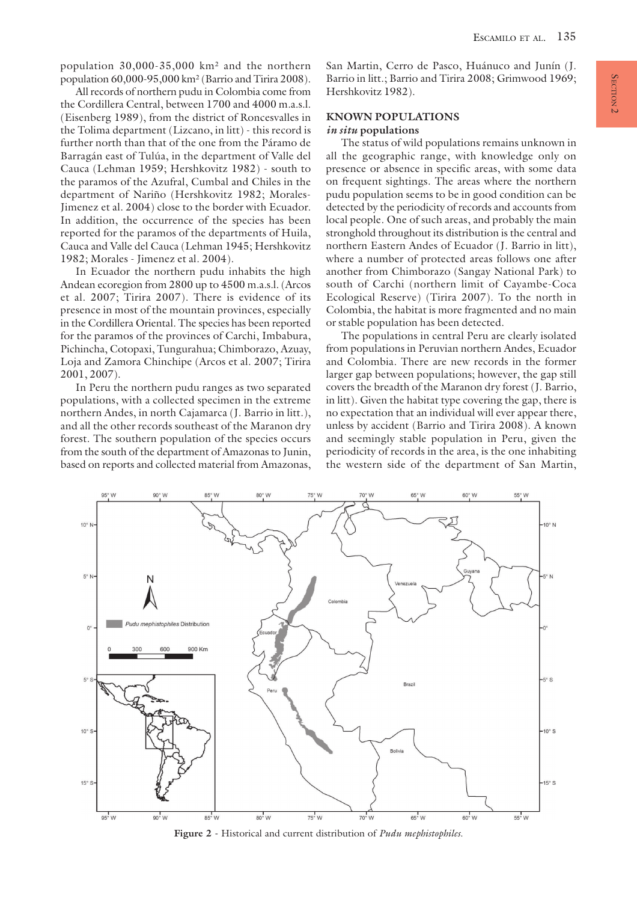population 30,000-35,000 km² and the northern population 60,000-95,000 km² (Barrio and Tirira 2008).

All records of northern pudu in Colombia come from the Cordillera Central, between 1700 and 4000 m.a.s.l. (Eisenberg 1989), from the district of Roncesvalles in the Tolima department (Lizcano, in litt) - this record is further north than that of the one from the Páramo de Barragán east of Tulúa, in the department of Valle del Cauca (Lehman 1959; Hershkovitz 1982) - south to the paramos of the Azufral, Cumbal and Chiles in the department of Nariño (Hershkovitz 1982; Morales-Jimenez et al. 2004) close to the border with Ecuador. In addition, the occurrence of the species has been reported for the paramos of the departments of Huila, Cauca and Valle del Cauca (Lehman 1945; Hershkovitz 1982; Morales - Jimenez et al. 2004).

In Ecuador the northern pudu inhabits the high Andean ecoregion from 2800 up to 4500 m.a.s.l. (Arcos et al. 2007; Tirira 2007). There is evidence of its presence in most of the mountain provinces, especially in the Cordillera Oriental. The species has been reported for the paramos of the provinces of Carchi, Imbabura, Pichincha, Cotopaxi, Tungurahua; Chimborazo, Azuay, Loja and Zamora Chinchipe (Arcos et al. 2007; Tirira 2001, 2007).

In Peru the northern pudu ranges as two separated populations, with a collected specimen in the extreme northern Andes, in north Cajamarca (J. Barrio in litt.), and all the other records southeast of the Maranon dry forest. The southern population of the species occurs from the south of the department of Amazonas to Junin, based on reports and collected material from Amazonas,

San Martin, Cerro de Pasco, Huánuco and Junín (J. Barrio in litt.; Barrio and Tirira 2008; Grimwood 1969; Hershkovitz 1982).

### **KNOWN POPULATIONS**

### *in situ* **populations**

The status of wild populations remains unknown in all the geographic range, with knowledge only on presence or absence in specific areas, with some data on frequent sightings. The areas where the northern pudu population seems to be in good condition can be detected by the periodicity of records and accounts from local people. One of such areas, and probably the main stronghold throughout its distribution is the central and northern Eastern Andes of Ecuador (J. Barrio in litt), where a number of protected areas follows one after another from Chimborazo (Sangay National Park) to south of Carchi (northern limit of Cayambe-Coca Ecological Reserve) (Tirira 2007). To the north in Colombia, the habitat is more fragmented and no main or stable population has been detected.

The populations in central Peru are clearly isolated from populations in Peruvian northern Andes, Ecuador and Colombia. There are new records in the former larger gap between populations; however, the gap still covers the breadth of the Maranon dry forest (J. Barrio, in litt). Given the habitat type covering the gap, there is no expectation that an individual will ever appear there, unless by accident (Barrio and Tirira 2008). A known and seemingly stable population in Peru, given the periodicity of records in the area, is the one inhabiting the western side of the department of San Martin,



**Figure 2 -** Historical and current distribution of *Pudu mephistophiles*.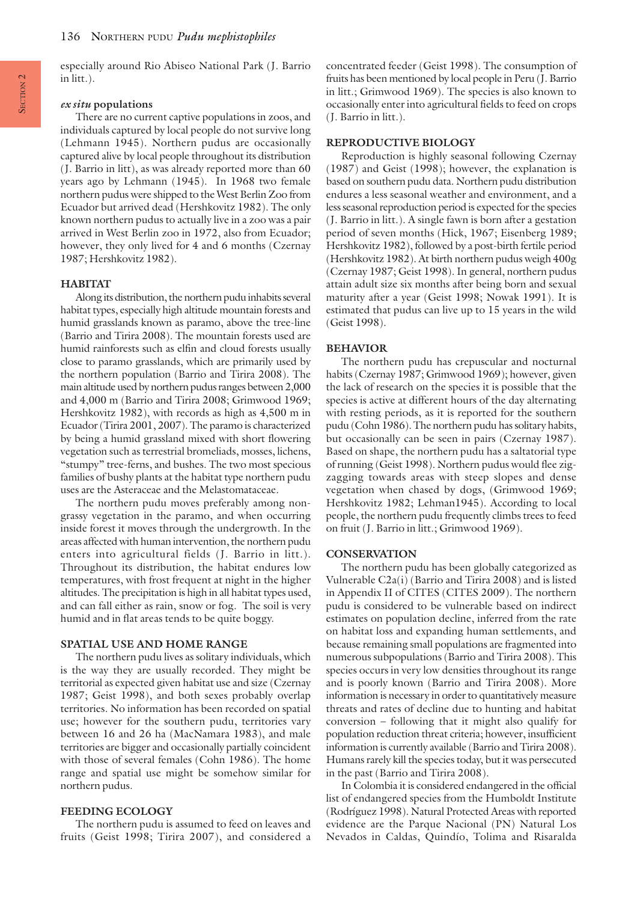especially around Rio Abiseo National Park (J. Barrio in litt.).

### *ex situ* **populations**

There are no current captive populations in zoos, and individuals captured by local people do not survive long (Lehmann 1945). Northern pudus are occasionally captured alive by local people throughout its distribution (J. Barrio in litt), as was already reported more than 60 years ago by Lehmann (1945). In 1968 two female northern pudus were shipped to the West Berlin Zoo from Ecuador but arrived dead (Hershkovitz 1982). The only known northern pudus to actually live in a zoo was a pair arrived in West Berlin zoo in 1972, also from Ecuador; however, they only lived for 4 and 6 months (Czernay 1987; Hershkovitz 1982).

### **HABITAT**

Along its distribution, the northern pudu inhabits several habitat types, especially high altitude mountain forests and humid grasslands known as paramo, above the tree-line (Barrio and Tirira 2008). The mountain forests used are humid rainforests such as elfin and cloud forests usually close to paramo grasslands, which are primarily used by the northern population (Barrio and Tirira 2008). The main altitude used by northern pudus ranges between 2,000 and 4,000 m (Barrio and Tirira 2008; Grimwood 1969; Hershkovitz 1982), with records as high as 4,500 m in Ecuador (Tirira 2001, 2007). The paramo is characterized by being a humid grassland mixed with short flowering vegetation such as terrestrial bromeliads, mosses, lichens, "stumpy" tree-ferns, and bushes. The two most specious families of bushy plants at the habitat type northern pudu uses are the Asteraceae and the Melastomataceae.

The northern pudu moves preferably among nongrassy vegetation in the paramo, and when occurring inside forest it moves through the undergrowth. In the areas affected with human intervention, the northern pudu enters into agricultural fields (J. Barrio in litt.). Throughout its distribution, the habitat endures low temperatures, with frost frequent at night in the higher altitudes. The precipitation is high in all habitat types used, and can fall either as rain, snow or fog. The soil is very humid and in flat areas tends to be quite boggy.

### **SPATIAL USE AND HOME RANGE**

The northern pudu lives as solitary individuals, which is the way they are usually recorded. They might be territorial as expected given habitat use and size (Czernay 1987; Geist 1998), and both sexes probably overlap territories. No information has been recorded on spatial use; however for the southern pudu, territories vary between 16 and 26 ha (MacNamara 1983), and male territories are bigger and occasionally partially coincident with those of several females (Cohn 1986). The home range and spatial use might be somehow similar for northern pudus.

### **FEEDING ECOLOGY**

The northern pudu is assumed to feed on leaves and fruits (Geist 1998; Tirira 2007), and considered a

concentrated feeder (Geist 1998). The consumption of fruits has been mentioned by local people in Peru (J. Barrio in litt.; Grimwood 1969). The species is also known to occasionally enter into agricultural fields to feed on crops (J. Barrio in litt.).

### **REPRODUCTIVE BIOLOGY**

Reproduction is highly seasonal following Czernay (1987) and Geist (1998); however, the explanation is based on southern pudu data. Northern pudu distribution endures a less seasonal weather and environment, and a less seasonal reproduction period is expected for the species (J. Barrio in litt.). A single fawn is born after a gestation period of seven months (Hick, 1967; Eisenberg 1989; Hershkovitz 1982), followed by a post-birth fertile period (Hershkovitz 1982). At birth northern pudus weigh 400g (Czernay 1987; Geist 1998). In general, northern pudus attain adult size six months after being born and sexual maturity after a year (Geist 1998; Nowak 1991). It is estimated that pudus can live up to 15 years in the wild (Geist 1998).

### **BEHAVIOR**

The northern pudu has crepuscular and nocturnal habits (Czernay 1987; Grimwood 1969); however, given the lack of research on the species it is possible that the species is active at different hours of the day alternating with resting periods, as it is reported for the southern pudu (Cohn 1986). The northern pudu has solitary habits, but occasionally can be seen in pairs (Czernay 1987). Based on shape, the northern pudu has a saltatorial type of running (Geist 1998). Northern pudus would flee zigzagging towards areas with steep slopes and dense vegetation when chased by dogs, (Grimwood 1969; Hershkovitz 1982; Lehman1945). According to local people, the northern pudu frequently climbs trees to feed on fruit (J. Barrio in litt.; Grimwood 1969).

#### **CONSERVATION**

The northern pudu has been globally categorized as Vulnerable C2a(i) (Barrio and Tirira 2008) and is listed in Appendix II of CITES (CITES 2009). The northern pudu is considered to be vulnerable based on indirect estimates on population decline, inferred from the rate on habitat loss and expanding human settlements, and because remaining small populations are fragmented into numerous subpopulations (Barrio and Tirira 2008). This species occurs in very low densities throughout its range and is poorly known (Barrio and Tirira 2008). More information is necessary in order to quantitatively measure threats and rates of decline due to hunting and habitat conversion – following that it might also qualify for population reduction threat criteria; however, insufficient information is currently available (Barrio and Tirira 2008). Humans rarely kill the species today, but it was persecuted in the past (Barrio and Tirira 2008).

In Colombia it is considered endangered in the official list of endangered species from the Humboldt Institute (Rodríguez 1998). Natural Protected Areas with reported evidence are the Parque Nacional (PN) Natural Los Nevados in Caldas, Quindío, Tolima and Risaralda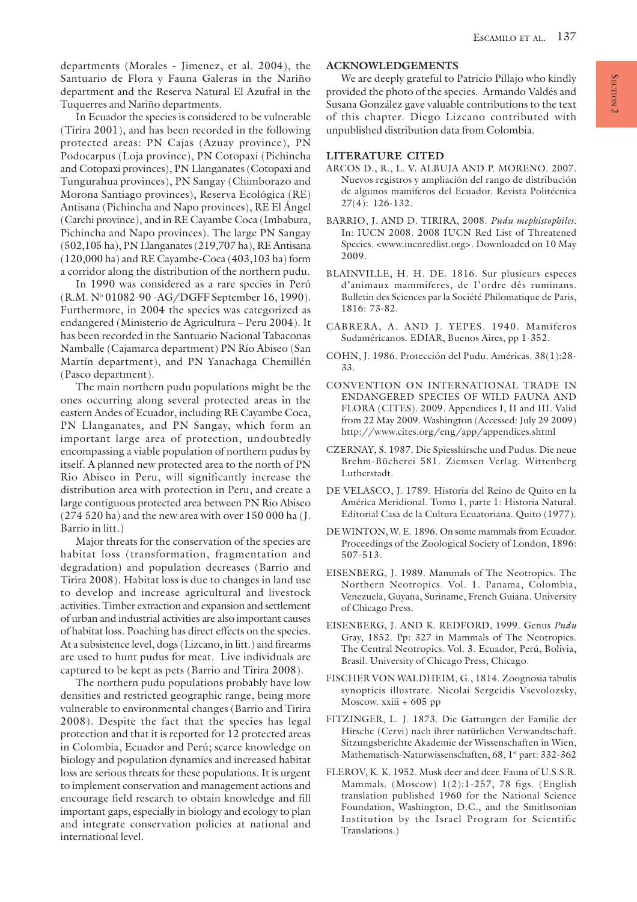departments (Morales - Jimenez, et al. 2004), the Santuario de Flora y Fauna Galeras in the Nariño department and the Reserva Natural El Azufral in the Tuquerres and Nariño departments.

In Ecuador the species is considered to be vulnerable (Tirira 2001), and has been recorded in the following protected areas: PN Cajas (Azuay province), PN Podocarpus (Loja province), PN Cotopaxi (Pichincha and Cotopaxi provinces), PN Llanganates (Cotopaxi and Tungurahua provinces), PN Sangay (Chimborazo and Morona Santiago provinces), Reserva Ecológica (RE) Antisana (Pichincha and Napo provinces), RE El Ángel (Carchi province), and in RE Cayambe Coca (Imbabura, Pichincha and Napo provinces). The large PN Sangay (502,105 ha), PN Llanganates (219,707 ha), RE Antisana (120,000 ha) and RE Cayambe-Coca (403,103 ha) form a corridor along the distribution of the northern pudu.

In 1990 was considered as a rare species in Perú (R.M. Nº 01082-90 - AG/DGFF September 16, 1990). Furthermore, in 2004 the species was categorized as endangered (Ministerio de Agricultura – Peru 2004). It has been recorded in the Santuario Nacional Tabaconas Namballe (Cajamarca department) PN Río Abiseo (San Martín department), and PN Yanachaga Chemillén (Pasco department).

The main northern pudu populations might be the ones occurring along several protected areas in the eastern Andes of Ecuador, including RE Cayambe Coca, PN Llanganates, and PN Sangay, which form an important large area of protection, undoubtedly encompassing a viable population of northern pudus by itself. A planned new protected area to the north of PN Rio Abiseo in Peru, will significantly increase the distribution area with protection in Peru, and create a large contiguous protected area between PN Rio Abiseo (274 520 ha) and the new area with over 150 000 ha (J. Barrio in litt.)

Major threats for the conservation of the species are habitat loss (transformation, fragmentation and degradation) and population decreases (Barrio and Tirira 2008). Habitat loss is due to changes in land use to develop and increase agricultural and livestock activities. Timber extraction and expansion and settlement of urban and industrial activities are also important causes of habitat loss. Poaching has direct effects on the species. At a subsistence level, dogs (Lizcano, in litt.) and firearms are used to hunt pudus for meat. Live individuals are captured to be kept as pets (Barrio and Tirira 2008).

The northern pudu populations probably have low densities and restricted geographic range, being more vulnerable to environmental changes (Barrio and Tirira 2008). Despite the fact that the species has legal protection and that it is reported for 12 protected areas in Colombia, Ecuador and Perú; scarce knowledge on biology and population dynamics and increased habitat loss are serious threats for these populations. It is urgent to implement conservation and management actions and encourage field research to obtain knowledge and fill important gaps, especially in biology and ecology to plan and integrate conservation policies at national and international level.

### **ACKNOWLEDGEMENTS**

We are deeply grateful to Patricio Pillajo who kindly provided the photo of the species. Armando Valdés and Susana González gave valuable contributions to the text of this chapter. Diego Lizcano contributed with unpublished distribution data from Colombia.

### **LITERATURE CITED**

- ARCOS D., R., L. V. ALBUJA AND P. MORENO. 2007. Nuevos registros y ampliación del rango de distribución de algunos mamíferos del Ecuador. Revista Politécnica 27(4): 126-132.
- BARRIO, J. AND D. TIRIRA, 2008. *Pudu mephistophiles*. In: IUCN 2008. 2008 IUCN Red List of Threatened Species. <www.iucnredlist.org>. Downloaded on 10 May 2009.
- BLAINVILLE, H. H. DE. 1816. Sur plusieurs especes d'animaux mammiferes, de I'ordre dês ruminans. Bulletin des Sciences par la Société Philomatique de Paris, 1816: 73-82.
- CABRERA, A. AND J. YEPES. 1940. Mamíferos Sudaméricanos. EDIAR, Buenos Aires, pp 1-352.
- COHN, J. 1986. Protección del Pudu. Américas. 38(1):28- 33.
- CONVENTION ON INTERNATIONAL TRADE IN ENDANGERED SPECIES OF WILD FAUNA AND FLORA (CITES). 2009. Appendices I, II and III. Valid from 22 May 2009. Washington (Accessed: July 29 2009) http://www.cites.org/eng/app/appendices.shtml
- CZERNAY, S. 1987. Die Spiesshirsche und Pudus. Die neue Brehm-Bücherei 581. Ziemsen Verlag. Wittenberg Lutherstadt.
- DE VELASCO, J. 1789. Historia del Reino de Quito en la América Meridional. Tomo 1, parte 1: Historia Natural. Editorial Casa de la Cultura Ecuatoriana. Quito (1977).
- DE WINTON, W. E. 1896. On some mammals from Ecuador. Proceedings of the Zoological Society of London, 1896: 507-513.
- EISENBERG, J. 1989. Mammals of The Neotropics. The Northern Neotropics. Vol. 1. Panama, Colombia, Venezuela, Guyana, Suriname, French Guiana. University of Chicago Press.
- EISENBERG, J. AND K. REDFORD, 1999. Genus *Pudu* Gray, 1852. Pp: 327 in Mammals of The Neotropics. The Central Neotropics. Vol. 3. Ecuador, Perú, Bolivia, Brasil. University of Chicago Press, Chicago.
- FISCHER VON WALDHEIM, G., 1814. Zoognosia tabulis synopticis illustrate. Nicolai Sergeidis Vsevolozsky, Moscow. xxiii + 605 pp
- FITZINGER, L. J. 1873. Die Gattungen der Familie der Hirsche (Cervi) nach ihrer natürlichen Verwandtschaft. Sitzungsberichte Akademie der Wissenschaften in Wien, Mathematisch-Naturwissenschaften, 68, 1st part: 332-362
- FLEROV, K. K. 1952. Musk deer and deer. Fauna of U.S.S.R. Mammals. (Moscow) 1(2):1-257, 78 figs. (English translation published 1960 for the National Science Foundation, Washington, D.C., and the Smithsonian Institution by the Israel Program for Scientific Translations.)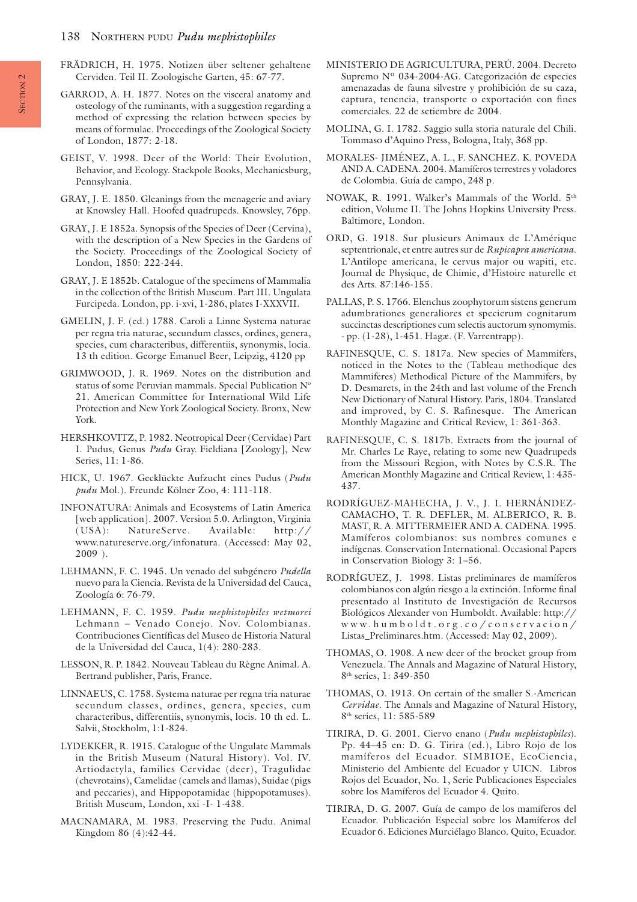### 138 NORTHERN PUDU *Pudu mephistophiles*

- FRÄDRICH, H. 1975. Notizen über seltener gehaltene Cerviden. Teil II. Zoologische Garten, 45: 67-77.
- GARROD, A. H. 1877. Notes on the visceral anatomy and osteology of the ruminants, with a suggestion regarding a method of expressing the relation between species by means of formulae. Proceedings of the Zoological Society of London, 1877: 2-18.
- GEIST, V. 1998. Deer of the World: Their Evolution, Behavior, and Ecology. Stackpole Books, Mechanicsburg, Pennsylvania.
- GRAY, J. E. 1850. Gleanings from the menagerie and aviary at Knowsley Hall. Hoofed quadrupeds. Knowsley, 76pp.
- GRAY, J. E 1852a. Synopsis of the Species of Deer (Cervina), with the description of a New Species in the Gardens of the Society. Proceedings of the Zoological Society of London, 1850: 222-244.
- GRAY, J. E 1852b. Catalogue of the specimens of Mammalia in the collection of the British Museum. Part III. Ungulata Furcipeda. London, pp. i-xvi, 1-286, plates I-XXXVII.
- GMELIN, J. F. (ed.) 1788. Caroli a Linne Systema naturae per regna tria naturae, secundum classes, ordines, genera, species, cum characteribus, differentiis, synonymis, locia. 13 th edition. George Emanuel Beer, Leipzig, 4120 pp
- GRIMWOOD, J. R. 1969. Notes on the distribution and status of some Peruvian mammals. Special Publication N° 21. American Committee for International Wild Life Protection and New York Zoological Society. Bronx, New York.
- HERSHKOVITZ, P. 1982. Neotropical Deer (Cervidae) Part I. Pudus, Genus *Pudu* Gray. Fieldiana [Zoology], New Series, 11: 1-86.
- HICK, U. 1967. Gecklückte Aufzucht eines Pudus (*Pudu pudu* Mol.). Freunde Kölner Zoo, 4: 111-118.
- INFONATURA: Animals and Ecosystems of Latin America [web application]. 2007. Version 5.0. Arlington, Virginia (USA): NatureServe. Available: http:// www.natureserve.org/infonatura. (Accessed: May 02, 2009 ).
- LEHMANN, F. C. 1945. Un venado del subgénero *Pudella* nuevo para la Ciencia. Revista de la Universidad del Cauca, Zoología 6: 76-79.
- LEHMANN, F. C. 1959. *Pudu mephistophiles wetmorei* Lehmann – Venado Conejo. Nov. Colombianas. Contribuciones Científicas del Museo de Historia Natural de la Universidad del Cauca, 1(4): 280-283.
- LESSON, R. P. 1842. Nouveau Tableau du Règne Animal. A. Bertrand publisher, Paris, France.
- LINNAEUS, C. 1758. Systema naturae per regna tria naturae secundum classes, ordines, genera, species, cum characteribus, differentiis, synonymis, locis. 10 th ed. L. Salvii, Stockholm, 1:1-824.
- LYDEKKER, R. 1915. Catalogue of the Ungulate Mammals in the British Museum (Natural History). Vol. IV. Artiodactyla, families Cervidae (deer), Tragulidae (chevrotains), Camelidae (camels and llamas), Suidae (pigs and peccaries), and Hippopotamidae (hippopotamuses). British Museum, London, xxi -I- 1-438.
- MACNAMARA, M. 1983. Preserving the Pudu. Animal Kingdom 86 (4):42-44.
- MINISTERIO DE AGRICULTURA, PERÚ. 2004. Decreto Supremo Nº 034-2004-AG. Categorización de especies amenazadas de fauna silvestre y prohibición de su caza, captura, tenencia, transporte o exportación con fines comerciales. 22 de setiembre de 2004.
- MOLINA, G. I. 1782. Saggio sulla storia naturale del Chili. Tommaso d'Aquino Press, Bologna, Italy, 368 pp.
- MORALES- JIMÉNEZ, A. L., F. SANCHEZ. K. POVEDA AND A. CADENA. 2004. Mamíferos terrestres y voladores de Colombia. Guía de campo, 248 p.
- NOWAK, R. 1991. Walker's Mammals of the World. 5th edition, Volume II. The Johns Hopkins University Press. Baltimore, London.
- ORD, G. 1918. Sur plusieurs Animaux de L'Amérique septentrionale, et entre autres sur de *Rupicapra americana*. L'Antilope americana, le cervus major ou wapiti, etc. Journal de Physique, de Chimie, d'Histoire naturelle et des Arts. 87:146-155.
- PALLAS, P. S. 1766. Elenchus zoophytorum sistens generum adumbrationes generaliores et specierum cognitarum succinctas descriptiones cum selectis auctorum synomymis. - pp. (1-28), 1-451. Hagæ. (F. Varrentrapp).
- RAFINESQUE, C. S. 1817a. New species of Mammifers, noticed in the Notes to the (Tableau methodique des Mammiferes) Methodical Picture of the Mammifers, by D. Desmarets, in the 24th and last volume of the French New Dictionary of Natural History. Paris, 1804. Translated and improved, by C. S. Rafinesque. The American Monthly Magazine and Critical Review, 1: 361-363.
- RAFINESQUE, C. S. 1817b. Extracts from the journal of Mr. Charles Le Raye, relating to some new Quadrupeds from the Missouri Region, with Notes by C.S.R. The American Monthly Magazine and Critical Review, 1: 435- 437.
- RODRÍGUEZ-MAHECHA, J. V., J. I. HERNÁNDEZ-CAMACHO, T. R. DEFLER, M. ALBERICO, R. B. MAST, R. A. MITTERMEIER AND A. CADENA. 1995. Mamíferos colombianos: sus nombres comunes e indígenas. Conservation International. Occasional Papers in Conservation Biology 3: 1–56.
- RODRÍGUEZ, J. 1998. Listas preliminares de mamíferos colombianos con algún riesgo a la extinción. Informe final presentado al Instituto de Investigación de Recursos Biológicos Alexander von Humboldt. Available: http:// www.humboldt.org.co/conser vacion/ Listas\_Preliminares.htm. (Accessed: May 02, 2009).
- THOMAS, O. 1908. A new deer of the brocket group from Venezuela. The Annals and Magazine of Natural History, 8th series, 1: 349-350
- THOMAS, O. 1913. On certain of the smaller S.-American *Cervidae*. The Annals and Magazine of Natural History, 8<sup>th</sup> series, 11: 585-589
- TIRIRA, D. G. 2001. Ciervo enano (*Pudu mephistophiles*). Pp. 44–45 en: D. G. Tirira (ed.), Libro Rojo de los mamíferos del Ecuador. SIMBIOE, EcoCiencia, Ministerio del Ambiente del Ecuador y UICN. Libros Rojos del Ecuador, No. 1, Serie Publicaciones Especiales sobre los Mamíferos del Ecuador 4. Quito.
- TIRIRA, D. G. 2007. Guía de campo de los mamíferos del Ecuador. Publicación Especial sobre los Mamíferos del Ecuador 6. Ediciones Murciélago Blanco. Quito, Ecuador.